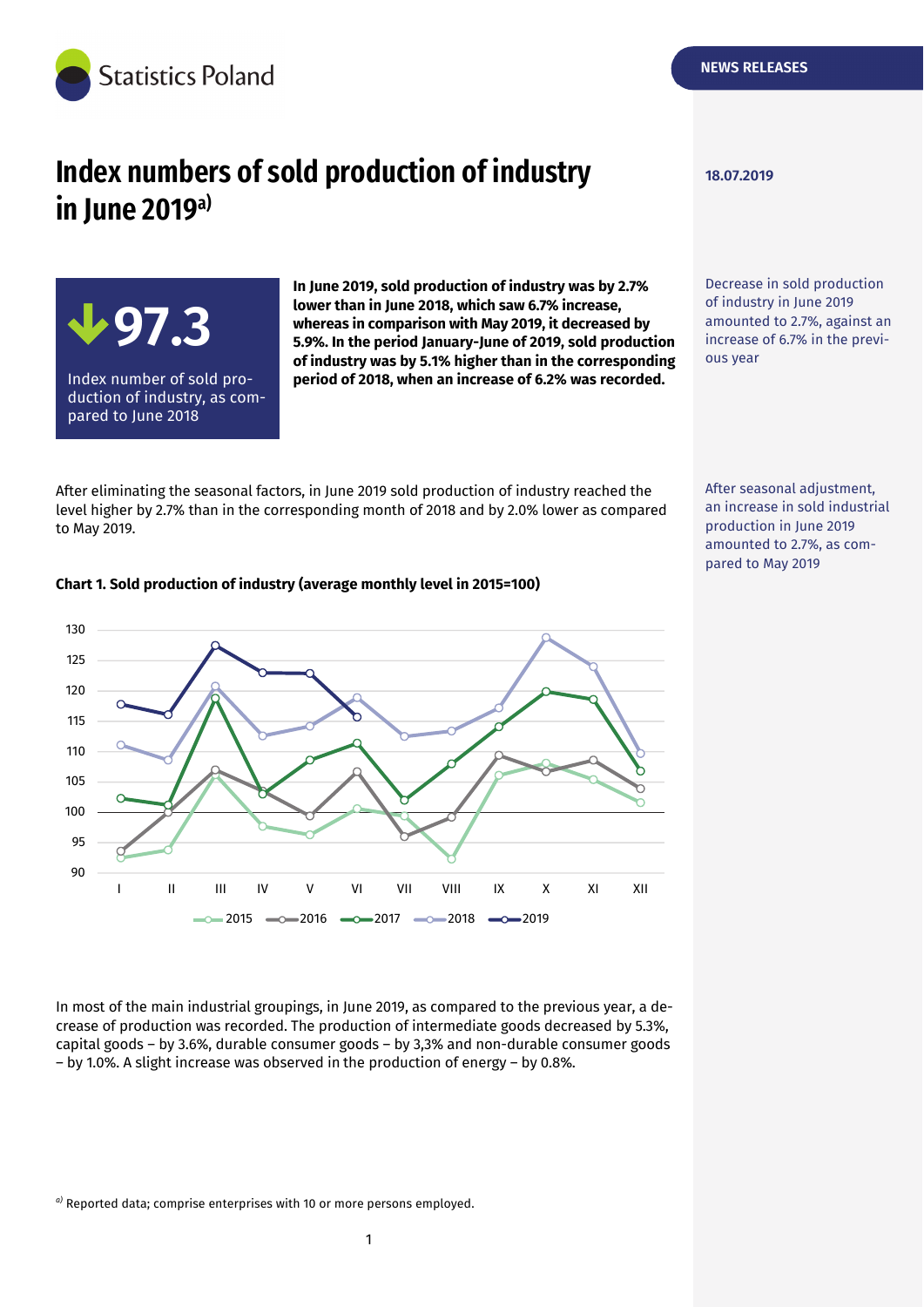

**109,0 97.3** 

Index number of sold promuck number or sold pro<br>duction of industry, as com-

auction or maastry,<br>pared to June 2018

# **Index numbers of sold production of industry**  $\frac{18.07.2019}{}$ **in June 2019a)**

**In June 2019, sold production of industry was by 2.7% lower than in June 2018, which saw 6.7% increase, whereas in comparison with May 2019, it decreased by 5.9%. In the period January-June of 2019, sold production of industry was by 5.1% higher than in the corresponding period of 2018, when an increase of 6.2% was recorded.** 

After eliminating the seasonal factors, in June 2019 sold production of industry reached the level higher by 2.7% than in the corresponding month of 2018 and by 2.0% lower as compared to May 2019.

After seasonal adjustment, an increase in sold industrial production in June 2019 amounted to 2.7%, as compared to May 2019

Decrease in sold production of industry in June 2019 amounted to 2.7%, against an increase of 6.7% in the previ-



#### **Chart 1. Sold production of industry (average monthly level in 2015=100)**

*a)* Reported data; comprise enterprises with 10 or more persons employed.

ous year

In most of the main industrial groupings, in June 2019, as compared to the previous year, a decrease of production was recorded. The production of intermediate goods decreased by 5.3%, capital goods – by 3.6%, durable consumer goods – by 3,3% and non-durable consumer goods – by 1.0%. A slight increase was observed in the production of energy – by 0.8%.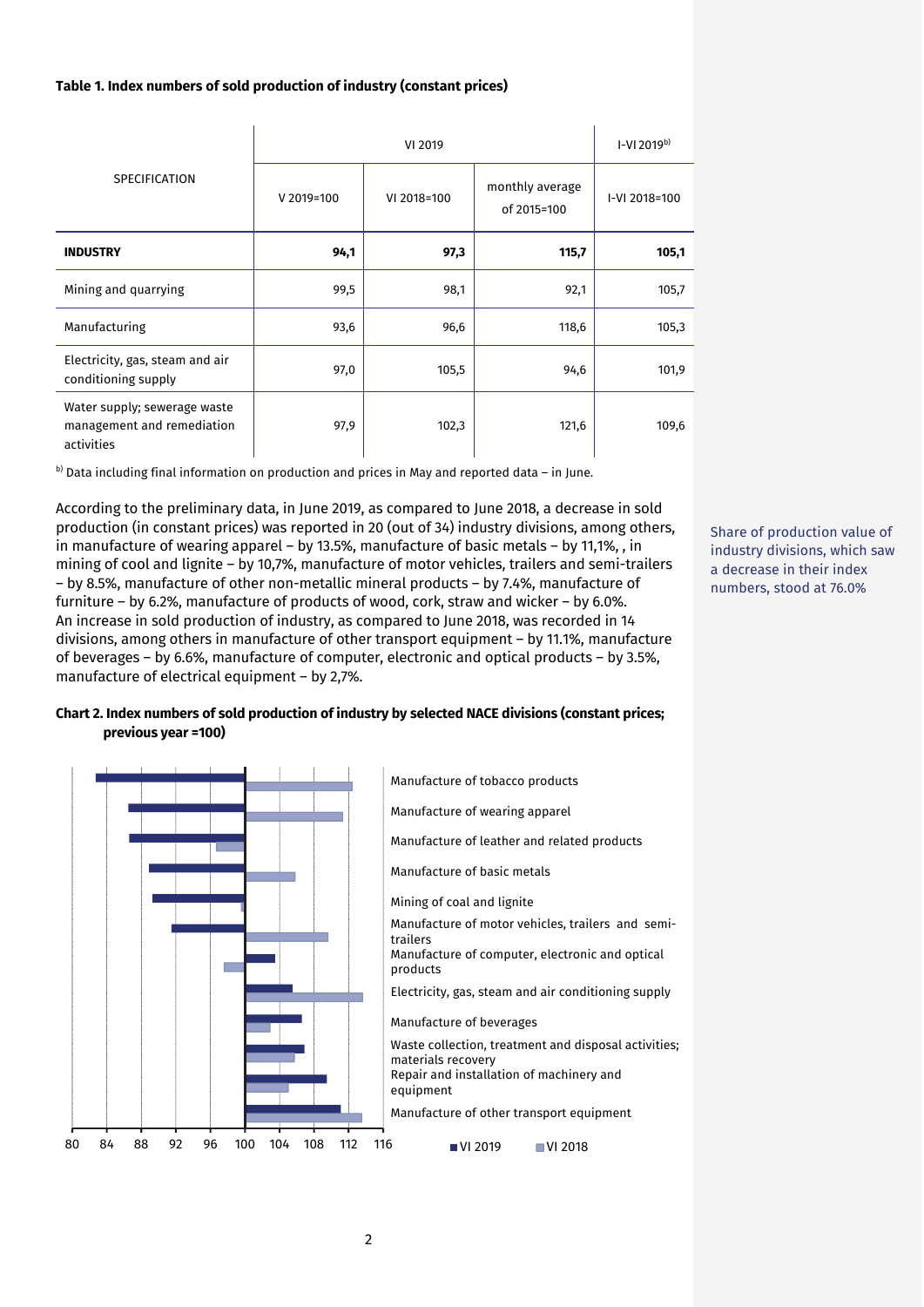#### **Table 1. Index numbers of sold production of industry (constant prices)**

| <b>SPECIFICATION</b>                                                     | VI 2019    |             |                                | $I-V12019^{b}$ |
|--------------------------------------------------------------------------|------------|-------------|--------------------------------|----------------|
|                                                                          | V 2019=100 | VI 2018=100 | monthly average<br>of 2015=100 | I-VI 2018=100  |
| <b>INDUSTRY</b>                                                          | 94,1       | 97,3        | 115,7                          | 105,1          |
| Mining and quarrying                                                     | 99,5       | 98,1        | 92,1                           | 105,7          |
| Manufacturing                                                            | 93,6       | 96,6        | 118,6                          | 105,3          |
| Electricity, gas, steam and air<br>conditioning supply                   | 97,0       | 105,5       | 94,6                           | 101,9          |
| Water supply; sewerage waste<br>management and remediation<br>activities | 97,9       | 102,3       | 121,6                          | 109,6          |

 $b)$  Data including final information on production and prices in May and reported data – in June.

According to the preliminary data, in June 2019, as compared to June 2018, a decrease in sold production (in constant prices) was reported in 20 (out of 34) industry divisions, among others, in manufacture of wearing apparel – by 13.5%, manufacture of basic metals – by 11,1%, , in mining of cool and lignite – by 10,7%, manufacture of motor vehicles, trailers and semi-trailers – by 8.5%, manufacture of other non-metallic mineral products – by 7.4%, manufacture of furniture – by 6.2%, manufacture of products of wood, cork, straw and wicker – by 6.0%. An increase in sold production of industry, as compared to June 2018, was recorded in 14 divisions, among others in manufacture of other transport equipment – by 11.1%, manufacture of beverages – by 6.6%, manufacture of computer, electronic and optical products – by 3.5%, manufacture of electrical equipment – by 2,7%.

Share of production value of industry divisions, which saw a decrease in their index numbers, stood at 76.0%

### **Chart 2. Index numbers of sold production of industry by selected NACE divisions (constant prices; previous year =100)**